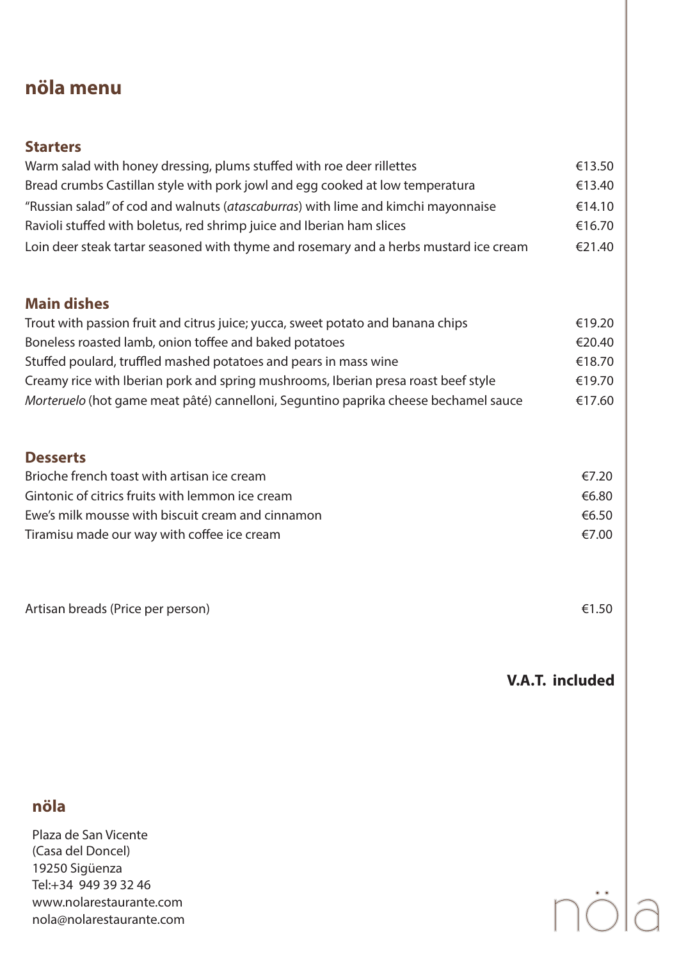# **nöla menu**

| <b>Starters</b>                                                                       |        |
|---------------------------------------------------------------------------------------|--------|
| Warm salad with honey dressing, plums stuffed with roe deer rillettes                 | €13.50 |
| Bread crumbs Castillan style with pork jowl and egg cooked at low temperatura         | €13.40 |
| "Russian salad" of cod and walnuts (atascaburras) with lime and kimchi mayonnaise     | €14.10 |
| Ravioli stuffed with boletus, red shrimp juice and Iberian ham slices                 | €16.70 |
| Loin deer steak tartar seasoned with thyme and rosemary and a herbs mustard ice cream | €21.40 |

#### **Main dishes**

| Trout with passion fruit and citrus juice; yucca, sweet potato and banana chips     | €19.20 |
|-------------------------------------------------------------------------------------|--------|
| Boneless roasted lamb, onion toffee and baked potatoes                              | €20.40 |
| Stuffed poulard, truffled mashed potatoes and pears in mass wine                    | €18.70 |
| Creamy rice with Iberian pork and spring mushrooms, Iberian presa roast beef style  | €19.70 |
| Morteruelo (hot game meat pâté) cannelloni, Seguntino paprika cheese bechamel sauce | €17.60 |

### **Desserts**

| Brioche french toast with artisan ice cream       | €7.20 |
|---------------------------------------------------|-------|
| Gintonic of citrics fruits with lemmon ice cream  | €6.80 |
| Ewe's milk mousse with biscuit cream and cinnamon | €6.50 |
| Tiramisu made our way with coffee ice cream       | €7.00 |

Artisan breads (Price per person) 61.50

**V.A.T. included**

## **nöla**

Plaza de San Vicente (Casa del Doncel) 19250 Sigüenza Tel:+34 949 39 32 46 www.nolarestaurante.com nola@nolarestaurante.com